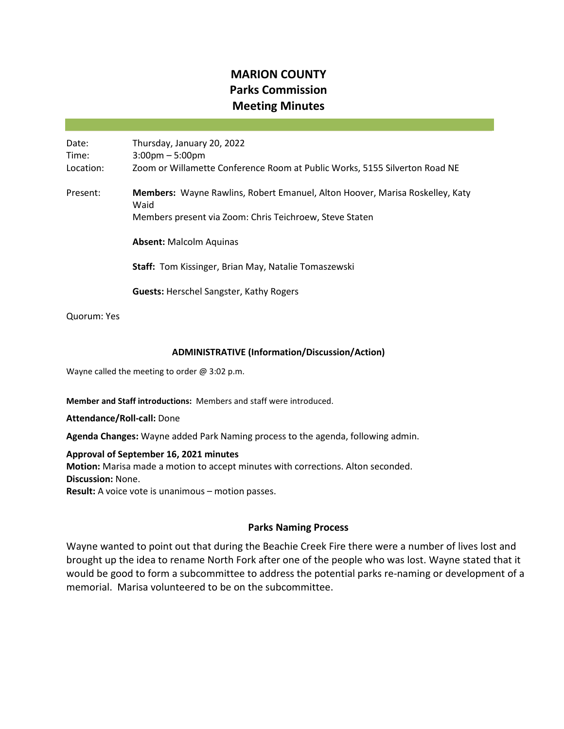# **MARION COUNTY Parks Commission Meeting Minutes**

Date: Thursday, January 20, 2022 Time: 3:00pm – 5:00pm Location: Zoom or Willamette Conference Room at Public Works, 5155 Silverton Road NE Present: **Members:** Wayne Rawlins, Robert Emanuel, Alton Hoover, Marisa Roskelley, Katy Waid Members present via Zoom: Chris Teichroew, Steve Staten **Absent:** Malcolm Aquinas **Staff:** Tom Kissinger, Brian May, Natalie Tomaszewski **Guests:** Herschel Sangster, Kathy Rogers

Quorum: Yes

#### **ADMINISTRATIVE (Information/Discussion/Action)**

Wayne called the meeting to order @ 3:02 p.m.

**Member and Staff introductions:** Members and staff were introduced.

**Attendance/Roll-call:** Done

**Agenda Changes:** Wayne added Park Naming process to the agenda, following admin.

**Approval of September 16, 2021 minutes Motion:** Marisa made a motion to accept minutes with corrections. Alton seconded. **Discussion:** None. **Result:** A voice vote is unanimous – motion passes.

## **Parks Naming Process**

Wayne wanted to point out that during the Beachie Creek Fire there were a number of lives lost and brought up the idea to rename North Fork after one of the people who was lost. Wayne stated that it would be good to form a subcommittee to address the potential parks re-naming or development of a memorial. Marisa volunteered to be on the subcommittee.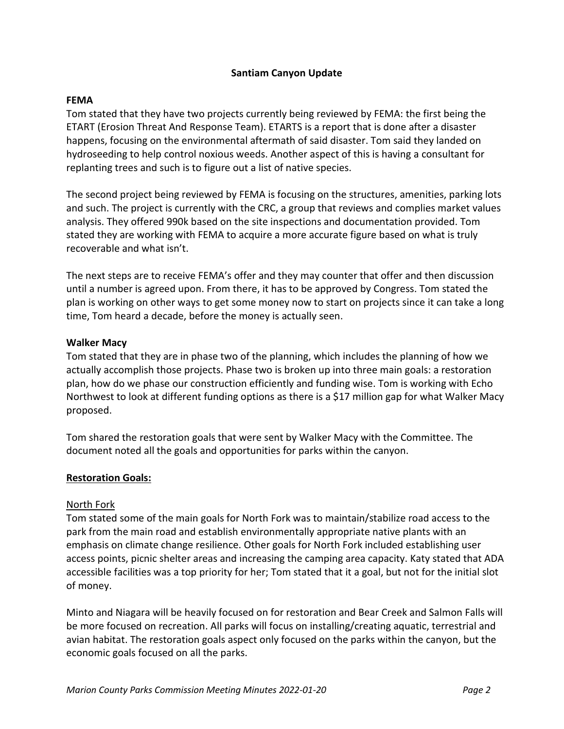# **Santiam Canyon Update**

## **FEMA**

Tom stated that they have two projects currently being reviewed by FEMA: the first being the ETART (Erosion Threat And Response Team). ETARTS is a report that is done after a disaster happens, focusing on the environmental aftermath of said disaster. Tom said they landed on hydroseeding to help control noxious weeds. Another aspect of this is having a consultant for replanting trees and such is to figure out a list of native species.

The second project being reviewed by FEMA is focusing on the structures, amenities, parking lots and such. The project is currently with the CRC, a group that reviews and complies market values analysis. They offered 990k based on the site inspections and documentation provided. Tom stated they are working with FEMA to acquire a more accurate figure based on what is truly recoverable and what isn't.

The next steps are to receive FEMA's offer and they may counter that offer and then discussion until a number is agreed upon. From there, it has to be approved by Congress. Tom stated the plan is working on other ways to get some money now to start on projects since it can take a long time, Tom heard a decade, before the money is actually seen.

#### **Walker Macy**

Tom stated that they are in phase two of the planning, which includes the planning of how we actually accomplish those projects. Phase two is broken up into three main goals: a restoration plan, how do we phase our construction efficiently and funding wise. Tom is working with Echo Northwest to look at different funding options as there is a \$17 million gap for what Walker Macy proposed.

Tom shared the restoration goals that were sent by Walker Macy with the Committee. The document noted all the goals and opportunities for parks within the canyon.

## **Restoration Goals:**

## North Fork

Tom stated some of the main goals for North Fork was to maintain/stabilize road access to the park from the main road and establish environmentally appropriate native plants with an emphasis on climate change resilience. Other goals for North Fork included establishing user access points, picnic shelter areas and increasing the camping area capacity. Katy stated that ADA accessible facilities was a top priority for her; Tom stated that it a goal, but not for the initial slot of money.

Minto and Niagara will be heavily focused on for restoration and Bear Creek and Salmon Falls will be more focused on recreation. All parks will focus on installing/creating aquatic, terrestrial and avian habitat. The restoration goals aspect only focused on the parks within the canyon, but the economic goals focused on all the parks.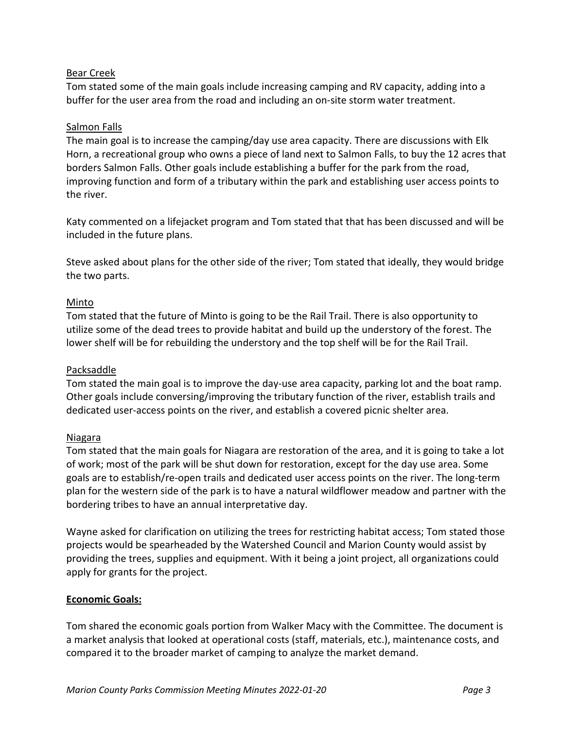# Bear Creek

Tom stated some of the main goals include increasing camping and RV capacity, adding into a buffer for the user area from the road and including an on-site storm water treatment.

# Salmon Falls

The main goal is to increase the camping/day use area capacity. There are discussions with Elk Horn, a recreational group who owns a piece of land next to Salmon Falls, to buy the 12 acres that borders Salmon Falls. Other goals include establishing a buffer for the park from the road, improving function and form of a tributary within the park and establishing user access points to the river.

Katy commented on a lifejacket program and Tom stated that that has been discussed and will be included in the future plans.

Steve asked about plans for the other side of the river; Tom stated that ideally, they would bridge the two parts.

# Minto

Tom stated that the future of Minto is going to be the Rail Trail. There is also opportunity to utilize some of the dead trees to provide habitat and build up the understory of the forest. The lower shelf will be for rebuilding the understory and the top shelf will be for the Rail Trail.

## Packsaddle

Tom stated the main goal is to improve the day-use area capacity, parking lot and the boat ramp. Other goals include conversing/improving the tributary function of the river, establish trails and dedicated user-access points on the river, and establish a covered picnic shelter area.

## Niagara

Tom stated that the main goals for Niagara are restoration of the area, and it is going to take a lot of work; most of the park will be shut down for restoration, except for the day use area. Some goals are to establish/re-open trails and dedicated user access points on the river. The long-term plan for the western side of the park is to have a natural wildflower meadow and partner with the bordering tribes to have an annual interpretative day.

Wayne asked for clarification on utilizing the trees for restricting habitat access; Tom stated those projects would be spearheaded by the Watershed Council and Marion County would assist by providing the trees, supplies and equipment. With it being a joint project, all organizations could apply for grants for the project.

## **Economic Goals:**

Tom shared the economic goals portion from Walker Macy with the Committee. The document is a market analysis that looked at operational costs (staff, materials, etc.), maintenance costs, and compared it to the broader market of camping to analyze the market demand.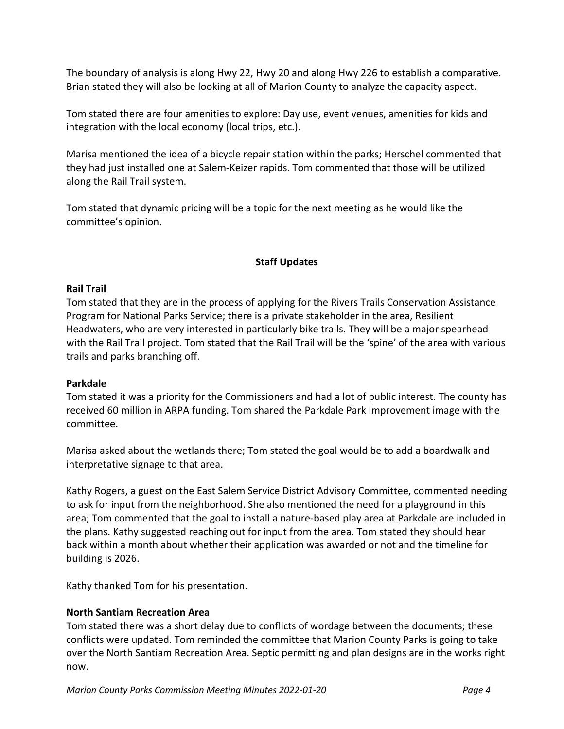The boundary of analysis is along Hwy 22, Hwy 20 and along Hwy 226 to establish a comparative. Brian stated they will also be looking at all of Marion County to analyze the capacity aspect.

Tom stated there are four amenities to explore: Day use, event venues, amenities for kids and integration with the local economy (local trips, etc.).

Marisa mentioned the idea of a bicycle repair station within the parks; Herschel commented that they had just installed one at Salem-Keizer rapids. Tom commented that those will be utilized along the Rail Trail system.

Tom stated that dynamic pricing will be a topic for the next meeting as he would like the committee's opinion.

## **Staff Updates**

#### **Rail Trail**

Tom stated that they are in the process of applying for the Rivers Trails Conservation Assistance Program for National Parks Service; there is a private stakeholder in the area, Resilient Headwaters, who are very interested in particularly bike trails. They will be a major spearhead with the Rail Trail project. Tom stated that the Rail Trail will be the 'spine' of the area with various trails and parks branching off.

#### **Parkdale**

Tom stated it was a priority for the Commissioners and had a lot of public interest. The county has received 60 million in ARPA funding. Tom shared the Parkdale Park Improvement image with the committee.

Marisa asked about the wetlands there; Tom stated the goal would be to add a boardwalk and interpretative signage to that area.

Kathy Rogers, a guest on the East Salem Service District Advisory Committee, commented needing to ask for input from the neighborhood. She also mentioned the need for a playground in this area; Tom commented that the goal to install a nature-based play area at Parkdale are included in the plans. Kathy suggested reaching out for input from the area. Tom stated they should hear back within a month about whether their application was awarded or not and the timeline for building is 2026.

Kathy thanked Tom for his presentation.

## **North Santiam Recreation Area**

Tom stated there was a short delay due to conflicts of wordage between the documents; these conflicts were updated. Tom reminded the committee that Marion County Parks is going to take over the North Santiam Recreation Area. Septic permitting and plan designs are in the works right now.